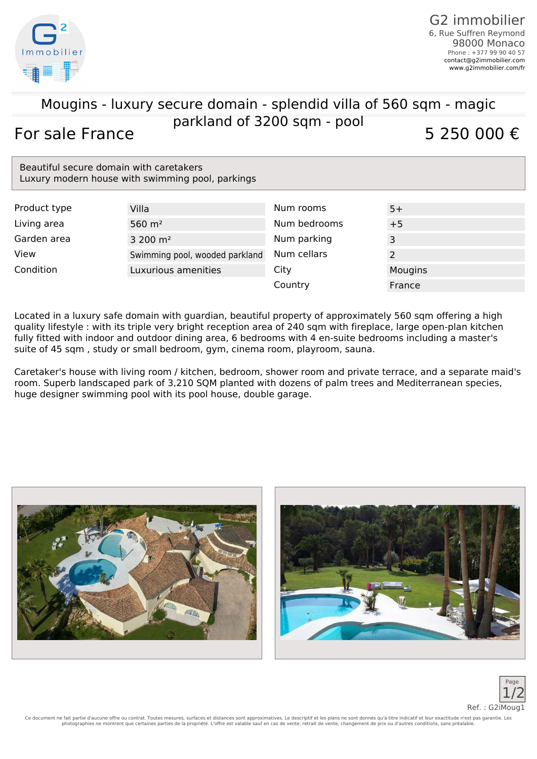

## Mougins - luxury secure domain - splendid villa of 560 sqm - magic parkland of 3200 sqm - pool For sale France  $\frac{1}{2}$   $\frac{1}{2}$   $\frac{1}{2}$   $\frac{1}{2}$   $\frac{1}{2}$   $\frac{1}{2}$   $\frac{1}{2}$   $\frac{1}{2}$   $\frac{1}{2}$   $\frac{1}{2}$   $\frac{1}{2}$   $\frac{1}{2}$   $\frac{1}{2}$   $\frac{1}{2}$   $\frac{1}{2}$   $\frac{1}{2}$   $\frac{1}{2}$   $\frac{1}{2}$   $\frac{1}{2}$   $\frac{1}{2}$   $\frac{1$

Beautiful secure domain with caretakers Luxury modern house with swimming pool, parkings

| Product type | Villa                          | Num rooms    | $5+$    |
|--------------|--------------------------------|--------------|---------|
| Living area  | 560 $m2$                       | Num bedrooms | $+5$    |
| Garden area  | $3200 \text{ m}^2$             | Num parking  | 3       |
| View         | Swimming pool, wooded parkland | Num cellars  |         |
| Condition    | Luxurious amenities            | City         | Mougins |
|              |                                | Country      | France  |

Located in a luxury safe domain with guardian, beautiful property of approximately 560 sqm offering a high quality lifestyle : with its triple very bright reception area of 240 sqm with fireplace, large open-plan kitchen fully fitted with indoor and outdoor dining area, 6 bedrooms with 4 en-suite bedrooms including a master's suite of 45 sqm , study or small bedroom, gym, cinema room, playroom, sauna.

Caretaker's house with living room / kitchen, bedroom, shower room and private terrace, and a separate maid's room. Superb landscaped park of 3,210 SQM planted with dozens of palm trees and Mediterranean species, huge designer swimming pool with its pool house, double garage.







Ce document ne fait partie d'aucune offre ou contrat. Toutes mesures, surfaces et distances sont approximatives. Le descriptif et les plans ne sont donnés qu'à titre indicatif et leur exactitude n'est pas garantie. Les photographies ne montrent que certaines parties de la propriété. L'offre est valable sauf en cas de vente, retrait de vente, changement de prix ou d'autres conditions, sans préalable.